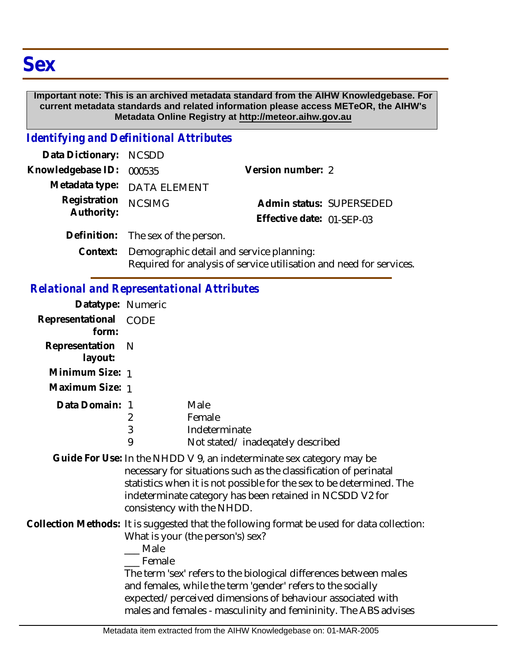#### **Important note: This is an archived metadata standard from the AIHW Knowledgebase. For current metadata standards and related information please access METeOR, the AIHW's Metadata Online Registry at http://meteor.aihw.gov.au**

### *Identifying and Definitional Attributes*

| Data Dictionary: NCSDD     |                                                                                                                 |                           |                          |
|----------------------------|-----------------------------------------------------------------------------------------------------------------|---------------------------|--------------------------|
| Knowledgebase ID:          | 000535                                                                                                          | Version number: 2         |                          |
|                            | Metadata type: DATA ELEMENT                                                                                     |                           |                          |
| Registration<br>Authority: | <b>NCSIMG</b>                                                                                                   |                           | Admin status: SUPERSEDED |
|                            |                                                                                                                 | Effective date: 01-SEP-03 |                          |
|                            | Definition: The sex of the person.                                                                              |                           |                          |
| Context:                   | Demographic detail and service planning:<br>Required for analysis of service utilisation and need for services. |                           |                          |

# *Relational and Representational Attributes*

| Datatype: Numeric         |                                                                                                                                                                                                                                                                                                                                                                                                                          |                                                                                                                                                                                                                                                                                                            |
|---------------------------|--------------------------------------------------------------------------------------------------------------------------------------------------------------------------------------------------------------------------------------------------------------------------------------------------------------------------------------------------------------------------------------------------------------------------|------------------------------------------------------------------------------------------------------------------------------------------------------------------------------------------------------------------------------------------------------------------------------------------------------------|
| Representational<br>form: | CODE                                                                                                                                                                                                                                                                                                                                                                                                                     |                                                                                                                                                                                                                                                                                                            |
| Representation<br>layout: | N                                                                                                                                                                                                                                                                                                                                                                                                                        |                                                                                                                                                                                                                                                                                                            |
| Minimum Size: 1           |                                                                                                                                                                                                                                                                                                                                                                                                                          |                                                                                                                                                                                                                                                                                                            |
| Maximum Size: 1           |                                                                                                                                                                                                                                                                                                                                                                                                                          |                                                                                                                                                                                                                                                                                                            |
| Data Domain: 1            | 2<br>3<br>9                                                                                                                                                                                                                                                                                                                                                                                                              | Male<br>Female<br>Indeterminate<br>Not stated/inadeqately described                                                                                                                                                                                                                                        |
|                           |                                                                                                                                                                                                                                                                                                                                                                                                                          | Guide For Use: In the NHDD V 9, an indeterminate sex category may be<br>necessary for situations such as the classification of perinatal<br>statistics when it is not possible for the sex to be determined. The<br>indeterminate category has been retained in NCSDD V2 for<br>consistency with the NHDD. |
|                           | Collection Methods: It is suggested that the following format be used for data collection:<br>What is your (the person's) sex?<br>__ Male<br>Female<br>The term 'sex' refers to the biological differences between males<br>and females, while the term 'gender' refers to the socially<br>expected/perceived dimensions of behaviour associated with<br>males and females - masculinity and femininity. The ABS advises |                                                                                                                                                                                                                                                                                                            |